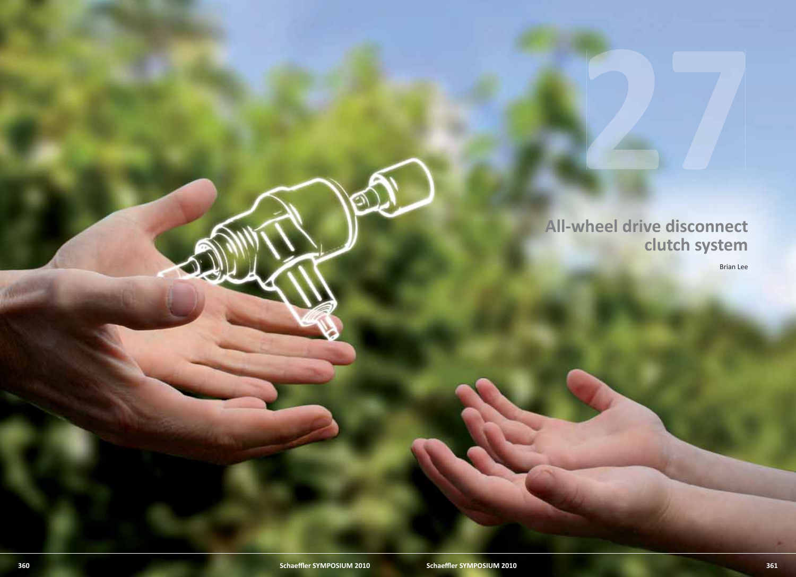**All-wheel drive disconnect clutch system**

Brian Lee

27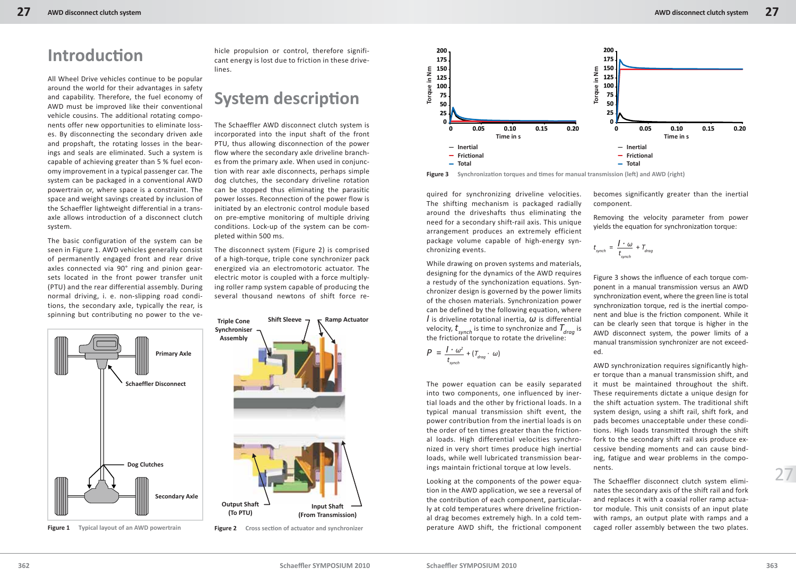All Wheel Drive vehicles continue to be popular around the world for their advantages in safety and capability. Therefore, the fuel economy of AWD must be improved like their conventional vehicle cousins. The additional rotating components offer new opportunities to eliminate losses. By disconnecting the secondary driven axle and propshaft, the rotating losses in the bearings and seals are eliminated. Such a system is capable of achieving greater than 5 % fuel economy improvement in a typical passenger car. The system can be packaged in a conventional AWD powertrain or, where space is a constraint. The space and weight savings created by inclusion of the Schaeffler lightweight differential in a transaxle allows introduction of a disconnect clutch system.

The basic configuration of the system can be seen in Figure 1. AWD vehicles generally consist of permanently engaged front and rear drive axles connected via 90° ring and pinion gearsets located in the front power transfer unit (PTU) and the rear differential assembly. During normal driving, i. e. non-slipping road conditions, the secondary axle, typically the rear, is spinning but contributing no power to the ve-



**Figure 1** Typical layout of an AWD powertrain

hicle propulsion or control, therefore significant energy is lost due to friction in these drivelines.

## **System description**

The Schaeffler AWD disconnect clutch system is incorporated into the input shaft of the front PTU, thus allowing disconnection of the power flow where the secondary axle driveline branches from the primary axle. When used in conjunction with rear axle disconnects, perhaps simple dog clutches, the secondary driveline rotation can be stopped thus eliminating the parasitic power losses. Reconnection of the power flow is initiated by an electronic control module based on pre-emptive monitoring of multiple driving conditions. Lock-up of the system can be completed within 500 ms.

The disconnect system (Figure 2) is comprised of a high-torque, triple cone synchronizer pack energized via an electromotoric actuator. The electric motor is coupled with a force multiplying roller ramp system capable of producing the several thousand newtons of shift force re-



**Figure 2** Cross section of actuator and synchronizer



**Figure 3** Synchronization torques and times for manual transmission (left) and AWD (right)

quired for synchronizing driveline velocities. The shifting mechanism is packaged radially around the driveshafts thus eliminating the need for a secondary shift-rail axis. This unique arrangement produces an extremely efficient package volume capable of high-energy synchronizing events.

While drawing on proven systems and materials, designing for the dynamics of the AWD requires a restudy of the synchonization equations. Synchronizer design is governed by the power limits of the chosen materials. Synchronization power can be defined by the following equation, where *I* is driveline rotational inertia, *ω* is differential velocity,  $t_{\text{current}}$  is time to synchronize and  $T_{\text{drag}}$  is the frictional torque to rotate the driveline:

$$
P = \frac{1 \cdot \omega^2}{t_{\text{synch}}} + (T_{\text{drag}} \cdot \omega)
$$

The power equation can be easily separated into two components, one influenced by inertial loads and the other by frictional loads. In a typical manual transmission shift event, the power contribution from the inertial loads is on the order of ten times greater than the frictional loads. High differential velocities synchronized in very short times produce high inertial loads, while well lubricated transmission bearings maintain frictional torque at low levels.

Looking at the components of the power equation in the AWD application, we see a reversal of the contribution of each component, particularly at cold temperatures where driveline frictional drag becomes extremely high. In a cold temperature AWD shift, the frictional component becomes significantly greater than the inertial component.

Removing the velocity parameter from power yields the equation for synchronization torque:

$$
t_{\text{synch}} = \frac{\int \cdot \omega}{t_{\text{synch}}} + T_{\text{drag}}
$$

Figure 3 shows the influence of each torque component in a manual transmission versus an AWD synchronization event, where the green line is total synchronization torque, red is the inertial component and blue is the friction component. While it can be clearly seen that torque is higher in the AWD disconnect system, the power limits of a manual transmission synchronizer are not exceeded.

AWD synchronization requires significantly higher torque than a manual transmission shift, and it must be maintained throughout the shift. These requirements dictate a unique design for the shift actuation system. The traditional shift system design, using a shift rail, shift fork, and pads becomes unacceptable under these conditions. High loads transmitted through the shift fork to the secondary shift rail axis produce excessive bending moments and can cause binding, fatigue and wear problems in the components.

The Schaeffler disconnect clutch system eliminates the secondary axis of the shift rail and fork and replaces it with a coaxial roller ramp actuator module. This unit consists of an input plate with ramps, an output plate with ramps and a caged roller assembly between the two plates.